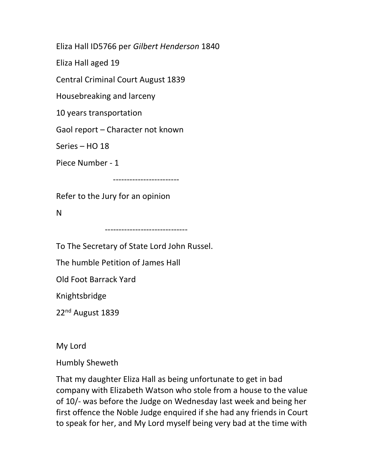Eliza Hall ID5766 per Gilbert Henderson 1840

Eliza Hall aged 19

Central Criminal Court August 1839

Housebreaking and larceny

10 years transportation

Gaol report – Character not known

Series – HO 18

Piece Number - 1

------------------------

Refer to the Jury for an opinion

N

------------------------------

To The Secretary of State Lord John Russel.

The humble Petition of James Hall

Old Foot Barrack Yard

Knightsbridge

22nd August 1839

My Lord

Humbly Sheweth

That my daughter Eliza Hall as being unfortunate to get in bad company with Elizabeth Watson who stole from a house to the value of 10/- was before the Judge on Wednesday last week and being her first offence the Noble Judge enquired if she had any friends in Court to speak for her, and My Lord myself being very bad at the time with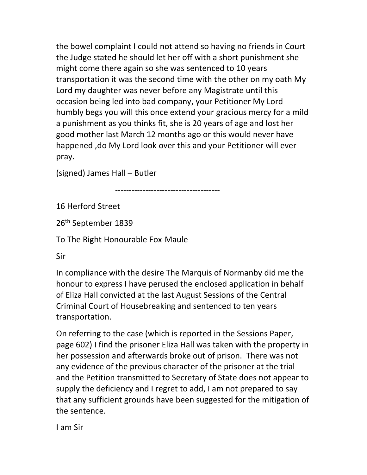the bowel complaint I could not attend so having no friends in Court the Judge stated he should let her off with a short punishment she might come there again so she was sentenced to 10 years transportation it was the second time with the other on my oath My Lord my daughter was never before any Magistrate until this occasion being led into bad company, your Petitioner My Lord humbly begs you will this once extend your gracious mercy for a mild a punishment as you thinks fit, she is 20 years of age and lost her good mother last March 12 months ago or this would never have happened ,do My Lord look over this and your Petitioner will ever pray.

(signed) James Hall – Butler

--------------------------------------

16 Herford Street

26th September 1839

To The Right Honourable Fox-Maule

Sir

In compliance with the desire The Marquis of Normanby did me the honour to express I have perused the enclosed application in behalf of Eliza Hall convicted at the last August Sessions of the Central Criminal Court of Housebreaking and sentenced to ten years transportation.

On referring to the case (which is reported in the Sessions Paper, page 602) I find the prisoner Eliza Hall was taken with the property in her possession and afterwards broke out of prison. There was not any evidence of the previous character of the prisoner at the trial and the Petition transmitted to Secretary of State does not appear to supply the deficiency and I regret to add, I am not prepared to say that any sufficient grounds have been suggested for the mitigation of the sentence.

I am Sir